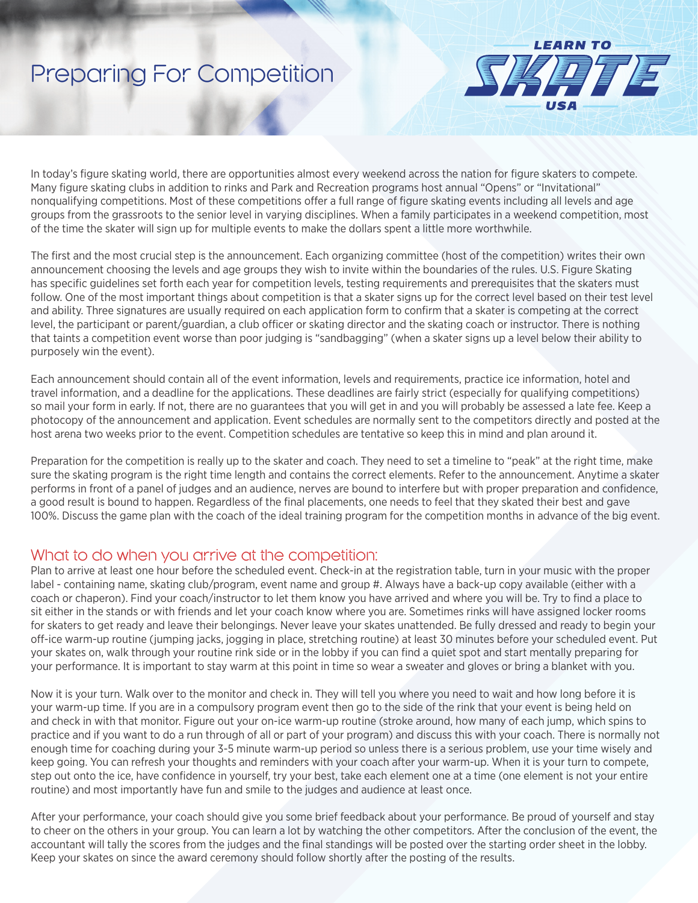# Preparing For Competition



In today's figure skating world, there are opportunities almost every weekend across the nation for figure skaters to compete. Many figure skating clubs in addition to rinks and Park and Recreation programs host annual "Opens" or "Invitational" nonqualifying competitions. Most of these competitions offer a full range of figure skating events including all levels and age groups from the grassroots to the senior level in varying disciplines. When a family participates in a weekend competition, most of the time the skater will sign up for multiple events to make the dollars spent a little more worthwhile.

The first and the most crucial step is the announcement. Each organizing committee (host of the competition) writes their own announcement choosing the levels and age groups they wish to invite within the boundaries of the rules. U.S. Figure Skating has specific guidelines set forth each year for competition levels, testing requirements and prerequisites that the skaters must follow. One of the most important things about competition is that a skater signs up for the correct level based on their test level and ability. Three signatures are usually required on each application form to confirm that a skater is competing at the correct level, the participant or parent/guardian, a club officer or skating director and the skating coach or instructor. There is nothing that taints a competition event worse than poor judging is "sandbagging" (when a skater signs up a level below their ability to purposely win the event).

Each announcement should contain all of the event information, levels and requirements, practice ice information, hotel and travel information, and a deadline for the applications. These deadlines are fairly strict (especially for qualifying competitions) so mail your form in early. If not, there are no guarantees that you will get in and you will probably be assessed a late fee. Keep a photocopy of the announcement and application. Event schedules are normally sent to the competitors directly and posted at the host arena two weeks prior to the event. Competition schedules are tentative so keep this in mind and plan around it.

Preparation for the competition is really up to the skater and coach. They need to set a timeline to "peak" at the right time, make sure the skating program is the right time length and contains the correct elements. Refer to the announcement. Anytime a skater performs in front of a panel of judges and an audience, nerves are bound to interfere but with proper preparation and confidence, a good result is bound to happen. Regardless of the final placements, one needs to feel that they skated their best and gave 100%. Discuss the game plan with the coach of the ideal training program for the competition months in advance of the big event.

#### What to do when you arrive at the competition:

Plan to arrive at least one hour before the scheduled event. Check-in at the registration table, turn in your music with the proper label - containing name, skating club/program, event name and group #. Always have a back-up copy available (either with a coach or chaperon). Find your coach/instructor to let them know you have arrived and where you will be. Try to find a place to sit either in the stands or with friends and let your coach know where you are. Sometimes rinks will have assigned locker rooms for skaters to get ready and leave their belongings. Never leave your skates unattended. Be fully dressed and ready to begin your off-ice warm-up routine (jumping jacks, jogging in place, stretching routine) at least 30 minutes before your scheduled event. Put your skates on, walk through your routine rink side or in the lobby if you can find a quiet spot and start mentally preparing for your performance. It is important to stay warm at this point in time so wear a sweater and gloves or bring a blanket with you.

Now it is your turn. Walk over to the monitor and check in. They will tell you where you need to wait and how long before it is your warm-up time. If you are in a compulsory program event then go to the side of the rink that your event is being held on and check in with that monitor. Figure out your on-ice warm-up routine (stroke around, how many of each jump, which spins to practice and if you want to do a run through of all or part of your program) and discuss this with your coach. There is normally not enough time for coaching during your 3-5 minute warm-up period so unless there is a serious problem, use your time wisely and keep going. You can refresh your thoughts and reminders with your coach after your warm-up. When it is your turn to compete, step out onto the ice, have confidence in yourself, try your best, take each element one at a time (one element is not your entire routine) and most importantly have fun and smile to the judges and audience at least once.

After your performance, your coach should give you some brief feedback about your performance. Be proud of yourself and stay to cheer on the others in your group. You can learn a lot by watching the other competitors. After the conclusion of the event, the accountant will tally the scores from the judges and the final standings will be posted over the starting order sheet in the lobby. Keep your skates on since the award ceremony should follow shortly after the posting of the results.